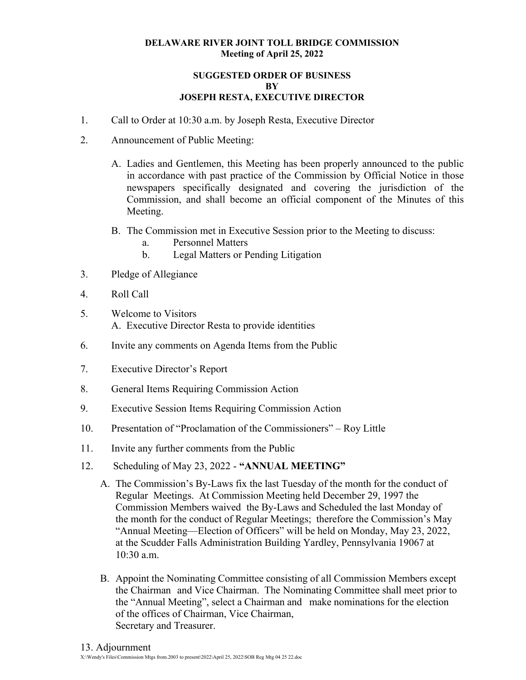### **DELAWARE RIVER JOINT TOLL BRIDGE COMMISSION Meeting of April 25, 2022**

### **SUGGESTED ORDER OF BUSINESS BY JOSEPH RESTA, EXECUTIVE DIRECTOR**

- 1. Call to Order at 10:30 a.m. by Joseph Resta, Executive Director
- 2. Announcement of Public Meeting:
	- A. Ladies and Gentlemen, this Meeting has been properly announced to the public in accordance with past practice of the Commission by Official Notice in those newspapers specifically designated and covering the jurisdiction of the Commission, and shall become an official component of the Minutes of this Meeting.
	- B. The Commission met in Executive Session prior to the Meeting to discuss:
		- a. Personnel Matters
		- b. Legal Matters or Pending Litigation
- 3. Pledge of Allegiance
- 4. Roll Call
- 5. Welcome to Visitors A. Executive Director Resta to provide identities
- 6. Invite any comments on Agenda Items from the Public
- 7. Executive Director's Report
- 8. General Items Requiring Commission Action
- 9. Executive Session Items Requiring Commission Action
- 10. Presentation of "Proclamation of the Commissioners" Roy Little
- 11. Invite any further comments from the Public
- 12. Scheduling of May 23, 2022 **"ANNUAL MEETING"**
	- A. The Commission's By-Laws fix the last Tuesday of the month for the conduct of Regular Meetings. At Commission Meeting held December 29, 1997 the Commission Members waived the By-Laws and Scheduled the last Monday of the month for the conduct of Regular Meetings; therefore the Commission's May "Annual Meeting—Election of Officers" will be held on Monday, May 23, 2022, at the Scudder Falls Administration Building Yardley, Pennsylvania 19067 at 10:30 a.m.
	- B. Appoint the Nominating Committee consisting of all Commission Members except the Chairman and Vice Chairman. The Nominating Committee shall meet prior to the "Annual Meeting", select a Chairman and make nominations for the election of the offices of Chairman, Vice Chairman, Secretary and Treasurer.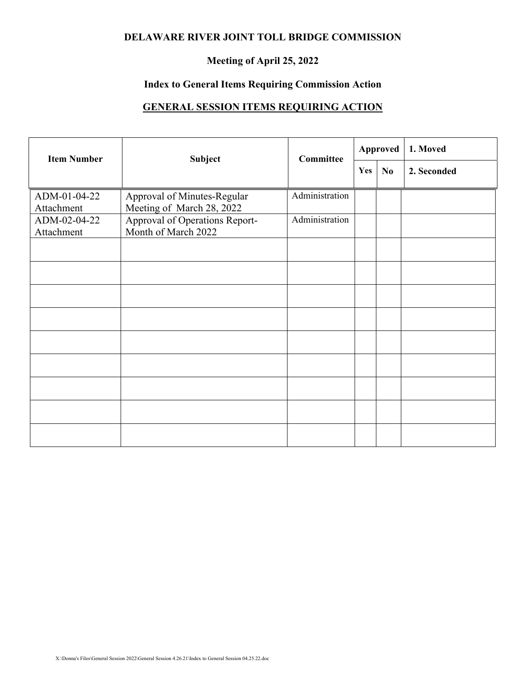### **DELAWARE RIVER JOINT TOLL BRIDGE COMMISSION**

## **Meeting of April 25, 2022**

## **Index to General Items Requiring Commission Action**

# **GENERAL SESSION ITEMS REQUIRING ACTION**

| <b>Item Number</b>         | Subject                                                  | <b>Committee</b> | Approved |                | 1. Moved    |  |
|----------------------------|----------------------------------------------------------|------------------|----------|----------------|-------------|--|
|                            |                                                          |                  | Yes      | N <sub>0</sub> | 2. Seconded |  |
| ADM-01-04-22<br>Attachment | Approval of Minutes-Regular<br>Meeting of March 28, 2022 | Administration   |          |                |             |  |
| ADM-02-04-22<br>Attachment | Approval of Operations Report-<br>Month of March 2022    | Administration   |          |                |             |  |
|                            |                                                          |                  |          |                |             |  |
|                            |                                                          |                  |          |                |             |  |
|                            |                                                          |                  |          |                |             |  |
|                            |                                                          |                  |          |                |             |  |
|                            |                                                          |                  |          |                |             |  |
|                            |                                                          |                  |          |                |             |  |
|                            |                                                          |                  |          |                |             |  |
|                            |                                                          |                  |          |                |             |  |
|                            |                                                          |                  |          |                |             |  |